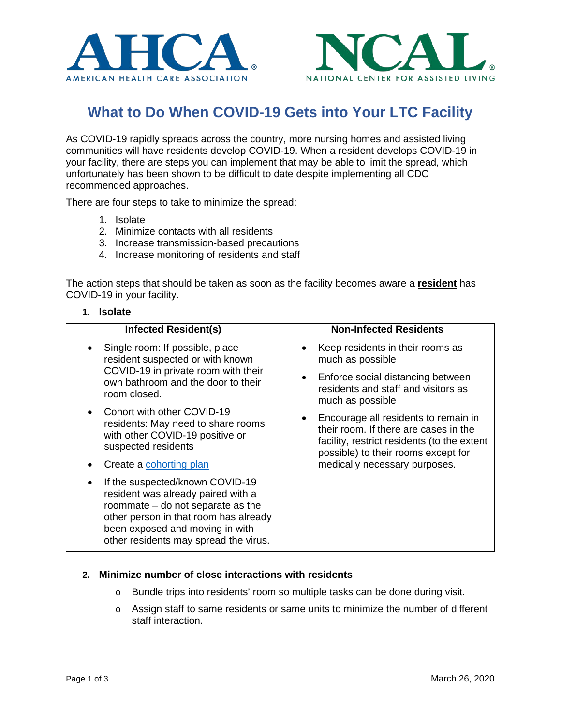



# **What to Do When COVID-19 Gets into Your LTC Facility**

As COVID-19 rapidly spreads across the country, more nursing homes and assisted living communities will have residents develop COVID-19. When a resident develops COVID-19 in your facility, there are steps you can implement that may be able to limit the spread, which unfortunately has been shown to be difficult to date despite implementing all CDC recommended approaches.

There are four steps to take to minimize the spread:

- 1. Isolate
- 2. Minimize contacts with all residents
- 3. Increase transmission-based precautions
- 4. Increase monitoring of residents and staff

The action steps that should be taken as soon as the facility becomes aware a **resident** has COVID-19 in your facility.

#### **1. Isolate**

| <b>Infected Resident(s)</b>                                                                                                                                                                                                                    | <b>Non-Infected Residents</b>                                                                                                                                                                                     |
|------------------------------------------------------------------------------------------------------------------------------------------------------------------------------------------------------------------------------------------------|-------------------------------------------------------------------------------------------------------------------------------------------------------------------------------------------------------------------|
| Single room: If possible, place<br>resident suspected or with known<br>COVID-19 in private room with their<br>own bathroom and the door to their<br>room closed.                                                                               | Keep residents in their rooms as<br>$\bullet$<br>much as possible                                                                                                                                                 |
|                                                                                                                                                                                                                                                | Enforce social distancing between<br>$\bullet$<br>residents and staff and visitors as<br>much as possible                                                                                                         |
| Cohort with other COVID-19<br>residents: May need to share rooms<br>with other COVID-19 positive or<br>suspected residents                                                                                                                     | Encourage all residents to remain in<br>$\bullet$<br>their room. If there are cases in the<br>facility, restrict residents (to the extent<br>possible) to their rooms except for<br>medically necessary purposes. |
| Create a cohorting plan                                                                                                                                                                                                                        |                                                                                                                                                                                                                   |
| If the suspected/known COVID-19<br>$\bullet$<br>resident was already paired with a<br>roommate $-$ do not separate as the<br>other person in that room has already<br>been exposed and moving in with<br>other residents may spread the virus. |                                                                                                                                                                                                                   |

### **2. Minimize number of close interactions with residents**

- $\circ$  Bundle trips into residents' room so multiple tasks can be done during visit.
- $\circ$  Assign staff to same residents or same units to minimize the number of different staff interaction.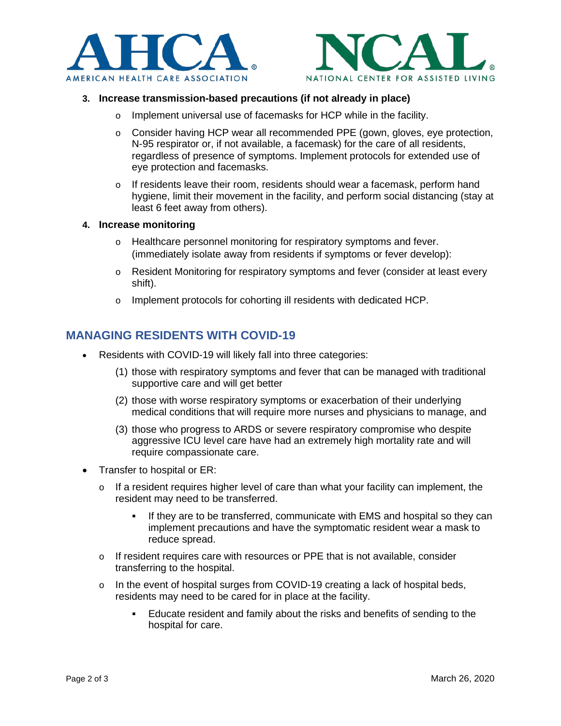



## **3. Increase transmission-based precautions (if not already in place)**

- o Implement universal use of facemasks for HCP while in the facility.
- $\circ$  Consider having HCP wear all recommended PPE (gown, gloves, eye protection, N-95 respirator or, if not available, a facemask) for the care of all residents, regardless of presence of symptoms. Implement protocols for extended use of eye protection and facemasks.
- o If residents leave their room, residents should wear a facemask, perform hand hygiene, limit their movement in the facility, and perform social distancing (stay at least 6 feet away from others).

### **4. Increase monitoring**

- o Healthcare personnel monitoring for respiratory symptoms and fever. (immediately isolate away from residents if symptoms or fever develop):
- o Resident Monitoring for respiratory symptoms and fever (consider at least every shift).
- o Implement protocols for cohorting ill residents with dedicated HCP.

# **MANAGING RESIDENTS WITH COVID-19**

- Residents with COVID-19 will likely fall into three categories:
	- (1) those with respiratory symptoms and fever that can be managed with traditional supportive care and will get better
	- (2) those with worse respiratory symptoms or exacerbation of their underlying medical conditions that will require more nurses and physicians to manage, and
	- (3) those who progress to ARDS or severe respiratory compromise who despite aggressive ICU level care have had an extremely high mortality rate and will require compassionate care.
- Transfer to hospital or ER:
	- o If a resident requires higher level of care than what your facility can implement, the resident may need to be transferred.
		- If they are to be transferred, communicate with EMS and hospital so they can implement precautions and have the symptomatic resident wear a mask to reduce spread.
	- $\circ$  If resident requires care with resources or PPE that is not available, consider transferring to the hospital.
	- o In the event of hospital surges from COVID-19 creating a lack of hospital beds, residents may need to be cared for in place at the facility.
		- Educate resident and family about the risks and benefits of sending to the hospital for care.